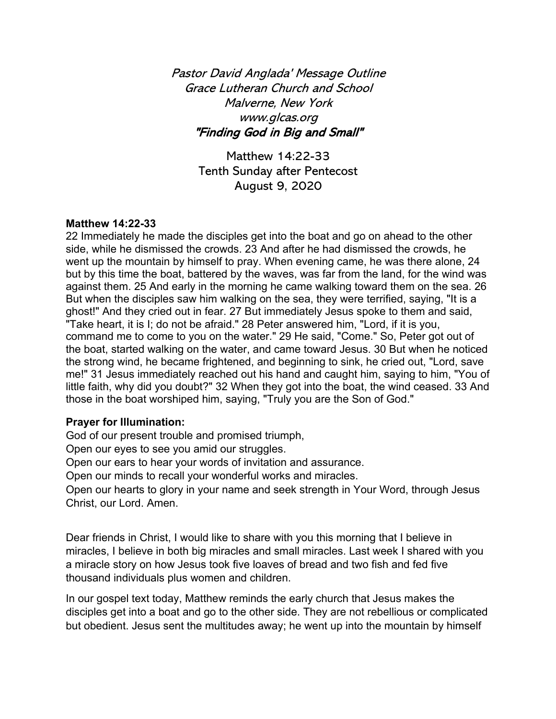Pastor David Anglada' Message Outline Grace Lutheran Church and School Malverne, New York www.glcas.org "Finding God in Big and Small"

> Matthew 14:22-33 Tenth Sunday after Pentecost August 9, 2020

#### **Matthew 14:22-33**

22 Immediately he made the disciples get into the boat and go on ahead to the other side, while he dismissed the crowds. 23 And after he had dismissed the crowds, he went up the mountain by himself to pray. When evening came, he was there alone, 24 but by this time the boat, battered by the waves, was far from the land, for the wind was against them. 25 And early in the morning he came walking toward them on the sea. 26 But when the disciples saw him walking on the sea, they were terrified, saying, "It is a ghost!" And they cried out in fear. 27 But immediately Jesus spoke to them and said, "Take heart, it is I; do not be afraid." 28 Peter answered him, "Lord, if it is you, command me to come to you on the water." 29 He said, "Come." So, Peter got out of the boat, started walking on the water, and came toward Jesus. 30 But when he noticed the strong wind, he became frightened, and beginning to sink, he cried out, "Lord, save me!" 31 Jesus immediately reached out his hand and caught him, saying to him, "You of little faith, why did you doubt?" 32 When they got into the boat, the wind ceased. 33 And those in the boat worshiped him, saying, "Truly you are the Son of God."

### **Prayer for Illumination:**

God of our present trouble and promised triumph,

Open our eyes to see you amid our struggles.

Open our ears to hear your words of invitation and assurance.

Open our minds to recall your wonderful works and miracles.

Open our hearts to glory in your name and seek strength in Your Word, through Jesus Christ, our Lord. Amen.

Dear friends in Christ, I would like to share with you this morning that I believe in miracles, I believe in both big miracles and small miracles. Last week I shared with you a miracle story on how Jesus took five loaves of bread and two fish and fed five thousand individuals plus women and children.

In our gospel text today, Matthew reminds the early church that Jesus makes the disciples get into a boat and go to the other side. They are not rebellious or complicated but obedient. Jesus sent the multitudes away; he went up into the mountain by himself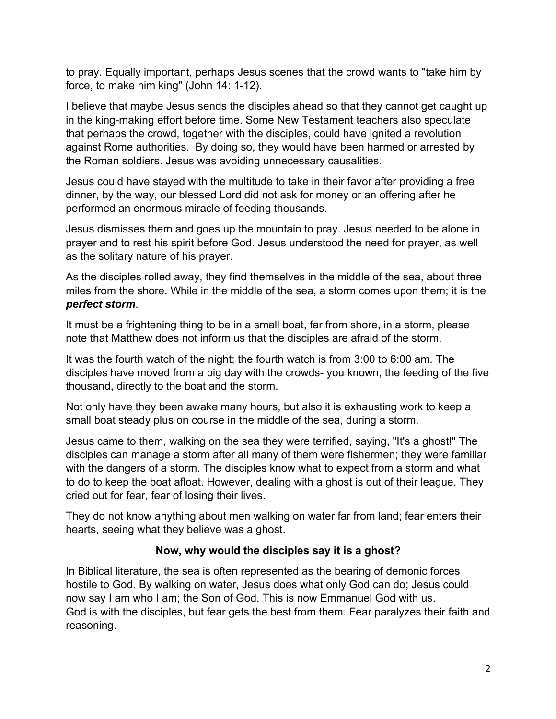to pray. Equally important, perhaps Jesus scenes that the crowd wants to "take him by force, to make him king" (John 14: 1-12).

I believe that maybe Jesus sends the disciples ahead so that they cannot get caught up in the king-making effort before time. Some New Testament teachers also speculate that perhaps the crowd, together with the disciples, could have ignited a revolution against Rome authorities. By doing so, they would have been harmed or arrested by the Roman soldiers. Jesus was avoiding unnecessary causalities.

Jesus could have stayed with the multitude to take in their favor after providing a free dinner, by the way, our blessed Lord did not ask for money or an offering after he performed an enormous miracle of feeding thousands.

Jesus dismisses them and goes up the mountain to pray. Jesus needed to be alone in prayer and to rest his spirit before God. Jesus understood the need for prayer, as well as the solitary nature of his prayer.

As the disciples rolled away, they find themselves in the middle of the sea, about three miles from the shore. While in the middle of the sea, a storm comes upon them; it is the *perfect storm*.

It must be a frightening thing to be in a small boat, far from shore, in a storm, please note that Matthew does not inform us that the disciples are afraid of the storm.

It was the fourth watch of the night; the fourth watch is from 3:00 to 6:00 am. The disciples have moved from a big day with the crowds- you known, the feeding of the five thousand, directly to the boat and the storm.

Not only have they been awake many hours, but also it is exhausting work to keep a small boat steady plus on course in the middle of the sea, during a storm.

Jesus came to them, walking on the sea they were terrified, saying, "It's a ghost!" The disciples can manage a storm after all many of them were fishermen; they were familiar with the dangers of a storm. The disciples know what to expect from a storm and what to do to keep the boat afloat. However, dealing with a ghost is out of their league. They cried out for fear, fear of losing their lives.

They do not know anything about men walking on water far from land; fear enters their hearts, seeing what they believe was a ghost.

## **Now, why would the disciples say it is a ghost?**

In Biblical literature, the sea is often represented as the bearing of demonic forces hostile to God. By walking on water, Jesus does what only God can do; Jesus could now say I am who I am; the Son of God. This is now Emmanuel God with us. God is with the disciples, but fear gets the best from them. Fear paralyzes their faith and reasoning.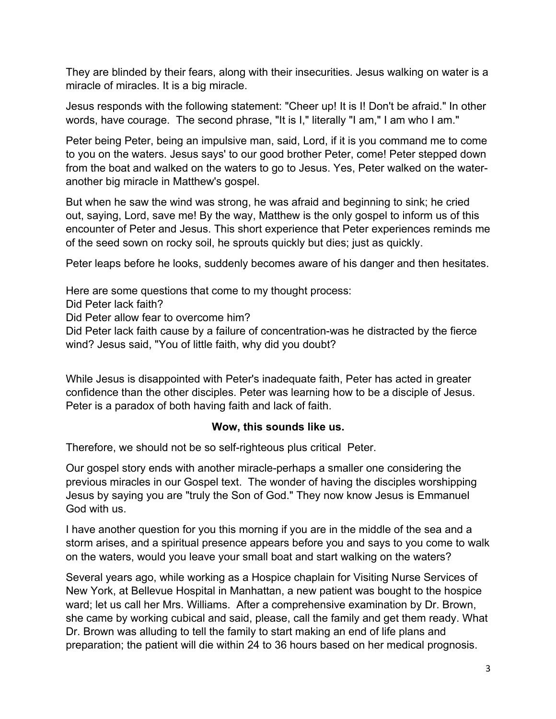They are blinded by their fears, along with their insecurities. Jesus walking on water is a miracle of miracles. It is a big miracle.

Jesus responds with the following statement: "Cheer up! It is I! Don't be afraid." In other words, have courage. The second phrase, "It is I," literally "I am," I am who I am."

Peter being Peter, being an impulsive man, said, Lord, if it is you command me to come to you on the waters. Jesus says' to our good brother Peter, come! Peter stepped down from the boat and walked on the waters to go to Jesus. Yes, Peter walked on the wateranother big miracle in Matthew's gospel.

But when he saw the wind was strong, he was afraid and beginning to sink; he cried out, saying, Lord, save me! By the way, Matthew is the only gospel to inform us of this encounter of Peter and Jesus. This short experience that Peter experiences reminds me of the seed sown on rocky soil, he sprouts quickly but dies; just as quickly.

Peter leaps before he looks, suddenly becomes aware of his danger and then hesitates.

Here are some questions that come to my thought process:

Did Peter lack faith?

Did Peter allow fear to overcome him?

Did Peter lack faith cause by a failure of concentration-was he distracted by the fierce wind? Jesus said, "You of little faith, why did you doubt?

While Jesus is disappointed with Peter's inadequate faith, Peter has acted in greater confidence than the other disciples. Peter was learning how to be a disciple of Jesus. Peter is a paradox of both having faith and lack of faith.

### **Wow, this sounds like us.**

Therefore, we should not be so self-righteous plus critical Peter.

Our gospel story ends with another miracle-perhaps a smaller one considering the previous miracles in our Gospel text. The wonder of having the disciples worshipping Jesus by saying you are "truly the Son of God." They now know Jesus is Emmanuel God with us.

I have another question for you this morning if you are in the middle of the sea and a storm arises, and a spiritual presence appears before you and says to you come to walk on the waters, would you leave your small boat and start walking on the waters?

Several years ago, while working as a Hospice chaplain for Visiting Nurse Services of New York, at Bellevue Hospital in Manhattan, a new patient was bought to the hospice ward; let us call her Mrs. Williams. After a comprehensive examination by Dr. Brown, she came by working cubical and said, please, call the family and get them ready. What Dr. Brown was alluding to tell the family to start making an end of life plans and preparation; the patient will die within 24 to 36 hours based on her medical prognosis.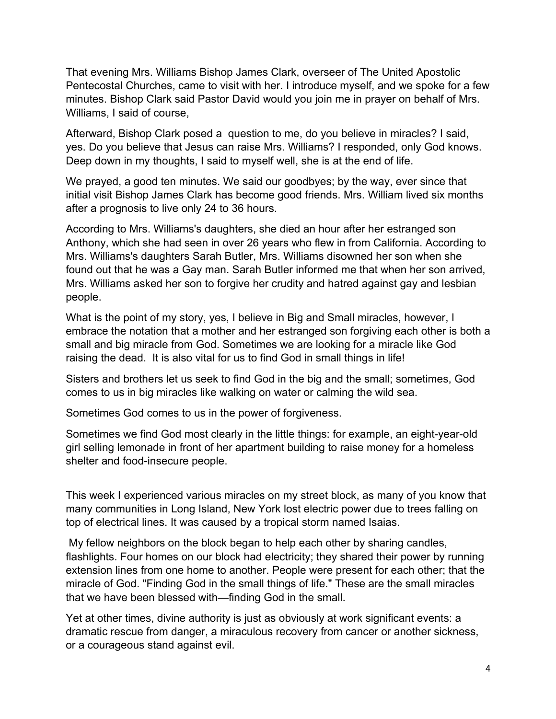That evening Mrs. Williams Bishop James Clark, overseer of The United Apostolic Pentecostal Churches, came to visit with her. I introduce myself, and we spoke for a few minutes. Bishop Clark said Pastor David would you join me in prayer on behalf of Mrs. Williams, I said of course,

Afterward, Bishop Clark posed a question to me, do you believe in miracles? I said, yes. Do you believe that Jesus can raise Mrs. Williams? I responded, only God knows. Deep down in my thoughts, I said to myself well, she is at the end of life.

We prayed, a good ten minutes. We said our goodbyes; by the way, ever since that initial visit Bishop James Clark has become good friends. Mrs. William lived six months after a prognosis to live only 24 to 36 hours.

According to Mrs. Williams's daughters, she died an hour after her estranged son Anthony, which she had seen in over 26 years who flew in from California. According to Mrs. Williams's daughters Sarah Butler, Mrs. Williams disowned her son when she found out that he was a Gay man. Sarah Butler informed me that when her son arrived, Mrs. Williams asked her son to forgive her crudity and hatred against gay and lesbian people.

What is the point of my story, yes, I believe in Big and Small miracles, however, I embrace the notation that a mother and her estranged son forgiving each other is both a small and big miracle from God. Sometimes we are looking for a miracle like God raising the dead. It is also vital for us to find God in small things in life!

Sisters and brothers let us seek to find God in the big and the small; sometimes, God comes to us in big miracles like walking on water or calming the wild sea.

Sometimes God comes to us in the power of forgiveness.

Sometimes we find God most clearly in the little things: for example, an eight-year-old girl selling lemonade in front of her apartment building to raise money for a homeless shelter and food-insecure people.

This week I experienced various miracles on my street block, as many of you know that many communities in Long Island, New York lost electric power due to trees falling on top of electrical lines. It was caused by a tropical storm named Isaias.

My fellow neighbors on the block began to help each other by sharing candles, flashlights. Four homes on our block had electricity; they shared their power by running extension lines from one home to another. People were present for each other; that the miracle of God. "Finding God in the small things of life." These are the small miracles that we have been blessed with—finding God in the small.

Yet at other times, divine authority is just as obviously at work significant events: a dramatic rescue from danger, a miraculous recovery from cancer or another sickness, or a courageous stand against evil.